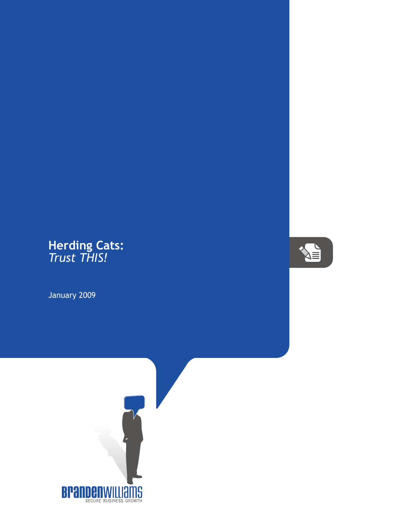## **Herding Cats:** *Trust THIS!*

January 2009



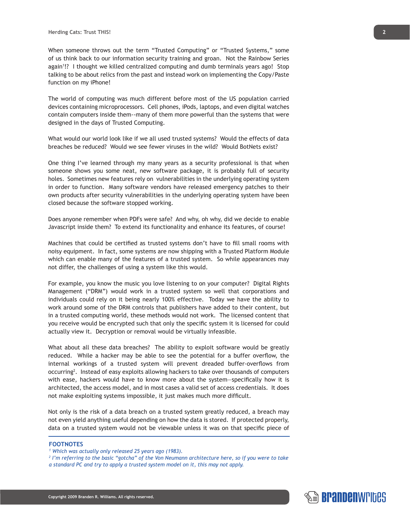When someone throws out the term "Trusted Computing" or "Trusted Systems," some of us think back to our information security training and groan. Not the Rainbow Series again1 !? I thought we killed centralized computing and dumb terminals years ago! Stop talking to be about relics from the past and instead work on implementing the Copy/Paste function on my iPhone!

The world of computing was much different before most of the US population carried devices containing microprocessors. Cell phones, iPods, laptops, and even digital watches contain computers inside them--many of them more powerful than the systems that were designed in the days of Trusted Computing.

What would our world look like if we all used trusted systems? Would the effects of data breaches be reduced? Would we see fewer viruses in the wild? Would BotNets exist?

One thing I've learned through my many years as a security professional is that when someone shows you some neat, new software package, it is probably full of security holes. Sometimes new features rely on vulnerabilities in the underlying operating system in order to function. Many software vendors have released emergency patches to their own products after security vulnerabilities in the underlying operating system have been closed because the software stopped working.

Does anyone remember when PDFs were safe? And why, oh why, did we decide to enable Javascript inside them? To extend its functionality and enhance its features, of course!

Machines that could be certified as trusted systems don't have to fill small rooms with noisy equipment. In fact, some systems are now shipping with a Trusted Platform Module which can enable many of the features of a trusted system. So while appearances may not differ, the challenges of using a system like this would.

For example, you know the music you love listening to on your computer? Digital Rights Management ("DRM") would work in a trusted system so well that corporations and individuals could rely on it being nearly 100% effective. Today we have the ability to work around some of the DRM controls that publishers have added to their content, but in a trusted computing world, these methods would not work. The licensed content that you receive would be encrypted such that only the specific system it is licensed for could actually view it. Decryption or removal would be virtually infeasible.

What about all these data breaches? The ability to exploit software would be greatly reduced. While a hacker may be able to see the potential for a buffer overflow, the internal workings of a trusted system will prevent dreaded buffer-overflows from occurring<sup>2</sup>. Instead of easy exploits allowing hackers to take over thousands of computers with ease, hackers would have to know more about the system—specifically how it is architected, the access model, and in most cases a valid set of access credentials. It does not make exploiting systems impossible, it just makes much more difficult.

Not only is the risk of a data breach on a trusted system greatly reduced, a breach may not even yield anything useful depending on how the data is stored. If protected properly, data on a trusted system would not be viewable unless it was on that specific piece of

## **FOOTNOTES**

*1 Which was actually only released 25 years ago (1983).*

*2 I'm referring to the basic "gotcha" of the Von Neumann architecture here, so if you were to take a standard PC and try to apply a trusted system model on it, this may not apply.*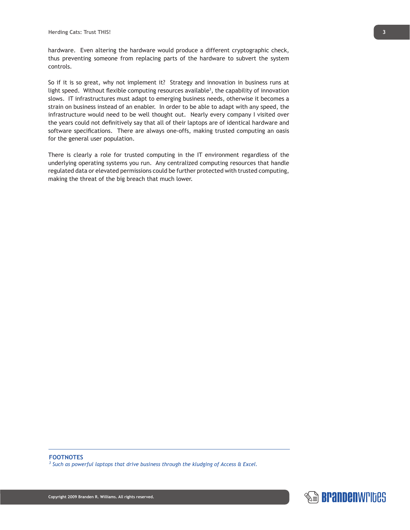hardware. Even altering the hardware would produce a different cryptographic check, thus preventing someone from replacing parts of the hardware to subvert the system controls.

So if it is so great, why not implement it? Strategy and innovation in business runs at light speed. Without flexible computing resources available<sup>3</sup>, the capability of innovation slows. IT infrastructures must adapt to emerging business needs, otherwise it becomes a strain on business instead of an enabler. In order to be able to adapt with any speed, the infrastructure would need to be well thought out. Nearly every company I visited over the years could not definitively say that all of their laptops are of identical hardware and software specifications. There are always one-offs, making trusted computing an oasis for the general user population.

There is clearly a role for trusted computing in the IT environment regardless of the underlying operating systems you run. Any centralized computing resources that handle regulated data or elevated permissions could be further protected with trusted computing, making the threat of the big breach that much lower.

## **FOOTNOTES**

*3 Such as powerful laptops that drive business through the kludging of Access & Excel.*